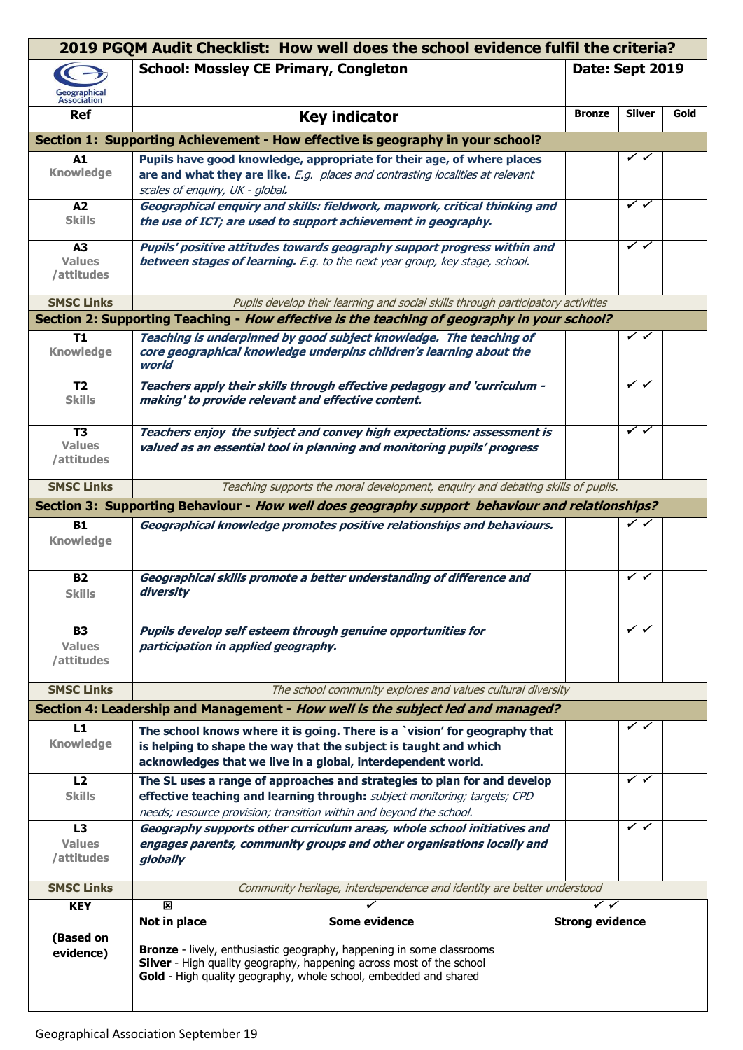|                                               | 2019 PGQM Audit Checklist: How well does the school evidence fulfil the criteria?                                                                                                                                                                         |                        |                           |      |
|-----------------------------------------------|-----------------------------------------------------------------------------------------------------------------------------------------------------------------------------------------------------------------------------------------------------------|------------------------|---------------------------|------|
| Geographical<br>Association                   | <b>School: Mossley CE Primary, Congleton</b>                                                                                                                                                                                                              | Date: Sept 2019        |                           |      |
| <b>Ref</b>                                    | <b>Key indicator</b>                                                                                                                                                                                                                                      | <b>Bronze</b>          | <b>Silver</b>             | Gold |
|                                               | Section 1: Supporting Achievement - How effective is geography in your school?                                                                                                                                                                            |                        |                           |      |
| A1                                            | Pupils have good knowledge, appropriate for their age, of where places                                                                                                                                                                                    |                        | ✓✓                        |      |
| <b>Knowledge</b>                              | are and what they are like. E.g. places and contrasting localities at relevant                                                                                                                                                                            |                        |                           |      |
|                                               | scales of enguiry, UK - global.                                                                                                                                                                                                                           |                        |                           |      |
| A2                                            | Geographical enquiry and skills: fieldwork, mapwork, critical thinking and                                                                                                                                                                                |                        | $\checkmark$ $\checkmark$ |      |
| <b>Skills</b>                                 | the use of ICT; are used to support achievement in geography.                                                                                                                                                                                             |                        |                           |      |
| A3                                            | Pupils' positive attitudes towards geography support progress within and                                                                                                                                                                                  |                        | ✓✓                        |      |
| <b>Values</b><br>/attitudes                   | between stages of learning. E.g. to the next year group, key stage, school.                                                                                                                                                                               |                        |                           |      |
| <b>SMSC Links</b>                             | Pupils develop their learning and social skills through participatory activities                                                                                                                                                                          |                        |                           |      |
|                                               | Section 2: Supporting Teaching - How effective is the teaching of geography in your school?                                                                                                                                                               |                        |                           |      |
| <b>T1</b><br><b>Knowledge</b>                 | Teaching is underpinned by good subject knowledge. The teaching of<br>core geographical knowledge underpins children's learning about the<br>world                                                                                                        |                        | ✓✓                        |      |
| T <sub>2</sub><br><b>Skills</b>               | Teachers apply their skills through effective pedagogy and 'curriculum -<br>making' to provide relevant and effective content.                                                                                                                            |                        | $\checkmark$ $\checkmark$ |      |
| T <sub>3</sub><br><b>Values</b><br>/attitudes | Teachers enjoy the subject and convey high expectations: assessment is<br>valued as an essential tool in planning and monitoring pupils' progress                                                                                                         |                        | ✓✓                        |      |
| <b>SMSC Links</b>                             | Teaching supports the moral development, enquiry and debating skills of pupils.                                                                                                                                                                           |                        |                           |      |
|                                               | Section 3: Supporting Behaviour - How well does geography support behaviour and relationships?                                                                                                                                                            |                        |                           |      |
| <b>B1</b><br><b>Knowledge</b>                 | Geographical knowledge promotes positive relationships and behaviours.                                                                                                                                                                                    |                        | ✓✓                        |      |
| <b>B2</b><br><b>Skills</b>                    | Geographical skills promote a better understanding of difference and<br>diversity                                                                                                                                                                         |                        | ✓✓                        |      |
| <b>B3</b>                                     | Pupils develop self esteem through genuine opportunities for                                                                                                                                                                                              |                        | ✓✓                        |      |
| <b>Values</b><br>/attitudes                   | participation in applied geography.                                                                                                                                                                                                                       |                        |                           |      |
| <b>SMSC Links</b>                             | The school community explores and values cultural diversity                                                                                                                                                                                               |                        |                           |      |
|                                               | Section 4: Leadership and Management - How well is the subject led and managed?                                                                                                                                                                           |                        |                           |      |
| L1<br><b>Knowledge</b>                        | The school knows where it is going. There is a `vision' for geography that<br>is helping to shape the way that the subject is taught and which<br>acknowledges that we live in a global, interdependent world.                                            |                        | ✓                         |      |
| L <sub>2</sub>                                | The SL uses a range of approaches and strategies to plan for and develop                                                                                                                                                                                  |                        | ✓✓                        |      |
| <b>Skills</b>                                 | effective teaching and learning through: subject monitoring; targets; CPD<br>needs; resource provision; transition within and beyond the school.                                                                                                          |                        |                           |      |
| L3                                            | Geography supports other curriculum areas, whole school initiatives and                                                                                                                                                                                   |                        | ✓✓                        |      |
| <b>Values</b><br>/attitudes                   | engages parents, community groups and other organisations locally and<br>globally                                                                                                                                                                         |                        |                           |      |
| <b>SMSC Links</b>                             | Community heritage, interdependence and identity are better understood                                                                                                                                                                                    |                        |                           |      |
| <b>KEY</b>                                    | 図                                                                                                                                                                                                                                                         | ✓✓                     |                           |      |
| (Based on<br>evidence)                        | Some evidence<br>Not in place<br><b>Bronze</b> - lively, enthusiastic geography, happening in some classrooms<br>Silver - High quality geography, happening across most of the school<br>Gold - High quality geography, whole school, embedded and shared | <b>Strong evidence</b> |                           |      |